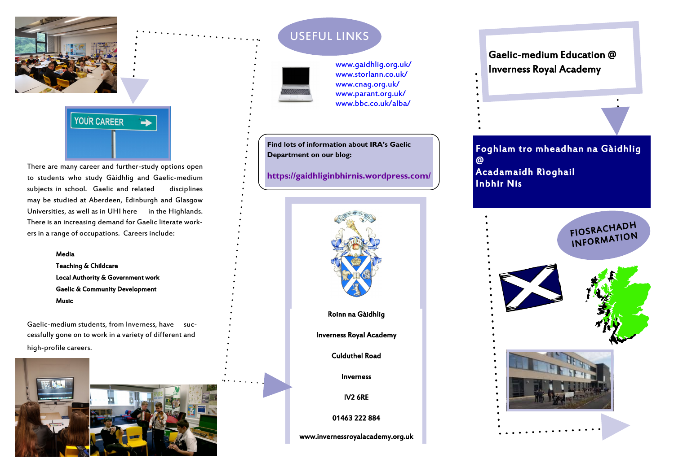



There are many career and further-study options open to students who study Gàidhlig and Gaelic-medium subjects in school. Gaelic and related disciplines may be studied at Aberdeen, Edinburgh and Glasgow Universities, as well as in UHI here in the Highlands. There is an increasing demand for Gaelic literate workers in a range of occupations. Careers include:

### Media

Teaching & Childcare Local Authority & Government work Gaelic & Community Development Music

Gaelic-medium students, from Inverness, have successfully gone on to work in a variety of different and high-profile careers.



# USEFUL LINKS



[www.gaidhlig.org.uk/](http://www.gaidhlig.org.uk/) [www.storlann.co.uk/](http://www.storlann.co.uk/) [www.cnag.org.uk/](http://www.cnag.org.uk/) [www.parant.org.uk/](http://www.parant.org.uk/) [www.bbc.co.uk/alba/](http://www.bbc.co.uk/alba/)

**Find lots of information about IRA's Gaelic Department on our blog:** 

*Inverness Royal Academy* **<https://gaidhliginbhirnis.wordpress.com/>**



## Gaelic-medium Education @ Inverness Royal Academy

Foghlam tro mheadhan na Gàidhlig @ Acadamaidh Rìoghail Inbhir Nis